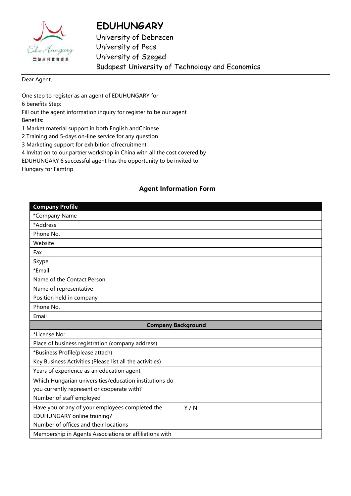

## **EDUHUNGARY**

University of Debrecen University of Pecs University of Szeged Budapest University of Technology and Economics

Dear Agent,

One step to register as an agent of EDUHUNGARY for 6 benefits Step: Fill out the agent information inquiry for register to be our agent

Benefits:

1 Market material support in both English andChinese

2 Training and 5-days on-line service for any question

3 Marketing support for exhibition ofrecruitment

4 Invitation to our partner workshop in China with all the cost covered by

EDUHUNGARY 6 successful agent has the opportunity to be invited to

Hungary for Famtrip

## **Agent Information Form**

| <b>Company Profile</b>                                   |     |  |
|----------------------------------------------------------|-----|--|
| *Company Name                                            |     |  |
| *Address                                                 |     |  |
| Phone No.                                                |     |  |
| Website                                                  |     |  |
| Fax                                                      |     |  |
| Skype                                                    |     |  |
| *Email                                                   |     |  |
| Name of the Contact Person                               |     |  |
| Name of representative                                   |     |  |
| Position held in company                                 |     |  |
| Phone No.                                                |     |  |
| Email                                                    |     |  |
| <b>Company Background</b>                                |     |  |
|                                                          |     |  |
| *License No:                                             |     |  |
| Place of business registration (company address)         |     |  |
| *Business Profile(please attach)                         |     |  |
| Key Business Activities (Please list all the activities) |     |  |
| Years of experience as an education agent                |     |  |
| Which Hungarian universities/education institutions do   |     |  |
| you currently represent or cooperate with?               |     |  |
| Number of staff employed                                 |     |  |
| Have you or any of your employees completed the          | Y/N |  |
| EDUHUNGARY online training?                              |     |  |
| Number of offices and their locations                    |     |  |